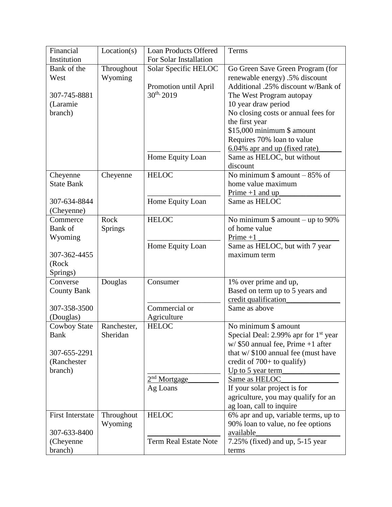| Financial                     | Location(s) | <b>Loan Products Offered</b> | Terms                                             |
|-------------------------------|-------------|------------------------------|---------------------------------------------------|
| Institution                   |             | For Solar Installation       |                                                   |
| Bank of the                   | Throughout  | Solar Specific HELOC         | Go Green Save Green Program (for                  |
| West                          | Wyoming     |                              | renewable energy) .5% discount                    |
|                               |             | Promotion until April        | Additional .25% discount w/Bank of                |
| 307-745-8881                  |             | $30^{th}$ , 2019             | The West Program autopay                          |
| (Laramie                      |             |                              | 10 year draw period                               |
| branch)                       |             |                              | No closing costs or annual fees for               |
|                               |             |                              | the first year                                    |
|                               |             |                              | \$15,000 minimum \$ amount                        |
|                               |             |                              | Requires 70% loan to value                        |
|                               |             |                              | 6.04% apr and up (fixed rate)                     |
|                               |             | Home Equity Loan             | Same as HELOC, but without<br>discount            |
|                               |             | <b>HELOC</b>                 | No minimum $$$ amount $-85\%$ of                  |
| Cheyenne<br><b>State Bank</b> | Cheyenne    |                              | home value maximum                                |
|                               |             |                              | $Prime +1$ and up                                 |
| 307-634-8844                  |             | Home Equity Loan             | Same as HELOC                                     |
| (Cheyenne)                    |             |                              |                                                   |
| Commerce                      | Rock        | <b>HELOC</b>                 | No minimum $$$ amount – up to 90%                 |
| Bank of                       | Springs     |                              | of home value                                     |
| Wyoming                       |             |                              | $Prime +1$                                        |
|                               |             | Home Equity Loan             | Same as HELOC, but with 7 year                    |
| 307-362-4455                  |             |                              | maximum term                                      |
| (Rock                         |             |                              |                                                   |
| Springs)                      |             |                              |                                                   |
| Converse                      | Douglas     | Consumer                     | 1% over prime and up,                             |
| <b>County Bank</b>            |             |                              | Based on term up to 5 years and                   |
|                               |             |                              | credit qualification                              |
| 307-358-3500                  |             | Commercial or                | Same as above                                     |
| (Douglas)                     |             | Agriculture                  |                                                   |
| <b>Cowboy State</b>           | Ranchester, | <b>HELOC</b>                 | No minimum \$ amount                              |
| <b>Bank</b>                   | Sheridan    |                              | Special Deal: 2.99% apr for $1st$ year            |
|                               |             |                              | w/ \$50 annual fee, Prime +1 after                |
| 307-655-2291<br>(Ranchester   |             |                              | that $w/$ \$100 annual fee (must have             |
| branch)                       |             |                              | credit of $700+$ to qualify)<br>Up to 5 year term |
|                               |             | 2 <sup>nd</sup> Mortgage     | Same as HELOC                                     |
|                               |             | Ag Loans                     | If your solar project is for                      |
|                               |             |                              | agriculture, you may qualify for an               |
|                               |             |                              | ag loan, call to inquire                          |
| <b>First Interstate</b>       | Throughout  | <b>HELOC</b>                 | 6% apr and up, variable terms, up to              |
|                               | Wyoming     |                              | 90% loan to value, no fee options                 |
| 307-633-8400                  |             |                              | available                                         |
| (Cheyenne)                    |             | <b>Term Real Estate Note</b> | 7.25% (fixed) and up, 5-15 year                   |
| branch)                       |             |                              | terms                                             |